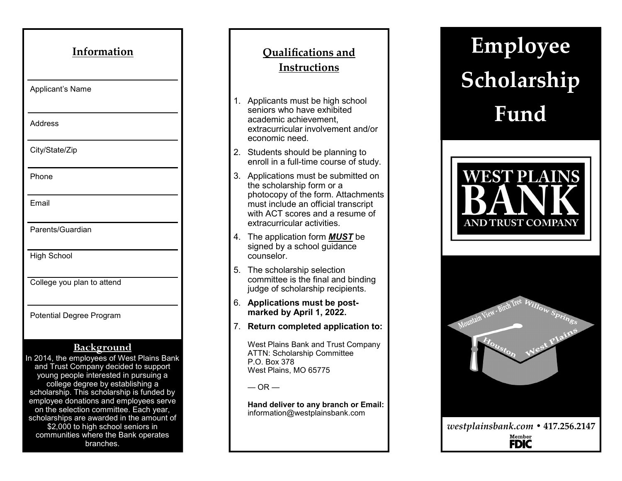| Information                                                                                                                                                                                                                                                                                                                                                                                                                                                  |
|--------------------------------------------------------------------------------------------------------------------------------------------------------------------------------------------------------------------------------------------------------------------------------------------------------------------------------------------------------------------------------------------------------------------------------------------------------------|
| Applicant's Name                                                                                                                                                                                                                                                                                                                                                                                                                                             |
| Address                                                                                                                                                                                                                                                                                                                                                                                                                                                      |
| City/State/Zip                                                                                                                                                                                                                                                                                                                                                                                                                                               |
| Phone                                                                                                                                                                                                                                                                                                                                                                                                                                                        |
| <b>Fmail</b>                                                                                                                                                                                                                                                                                                                                                                                                                                                 |
| Parents/Guardian                                                                                                                                                                                                                                                                                                                                                                                                                                             |
| <b>High School</b>                                                                                                                                                                                                                                                                                                                                                                                                                                           |
| College you plan to attend                                                                                                                                                                                                                                                                                                                                                                                                                                   |
| Potential Degree Program                                                                                                                                                                                                                                                                                                                                                                                                                                     |
| <u>Background</u><br>In 2014, the employees of West Plains Bank<br>and Trust Company decided to support<br>young people interested in pursuing a<br>college degree by establishing a<br>scholarship. This scholarship is funded by<br>employee donations and employees serve<br>on the selection committee. Each year,<br>scholarships are awarded in the amount of<br>\$2,000 to high school seniors in<br>communities where the Bank operates<br>branches. |

## **Qualifications and Instructions**

- 1. Applicants must be high school seniors who have exhibited academic achievement, extracurricular involvement and/or economic need.
- 2. Students should be planning to enroll in a full -time course of study.
- 3. Applications must be submitted on the scholarship form or a photocopy of the form. Attachments must include an official transcript with ACT scores and a resume of extracurricular activities.
- 4. The application form *MUST* be signed by a school guidance counselor.
- 5. The scholarship selection committee is the final and binding judge of scholarship recipients.
- 6. **Applications must be postmarked by April 1, 2022.**
- 7. **Return completed application to:**

West Plains Bank and Trust Company ATTN: Scholarship Committee P.O. Box 378 West Plains, MO 65775

 $-$  OR  $-$ 

**Hand deliver to any branch or Email:**  information@westplainsbank.com

**Employee Scholarship Fund**